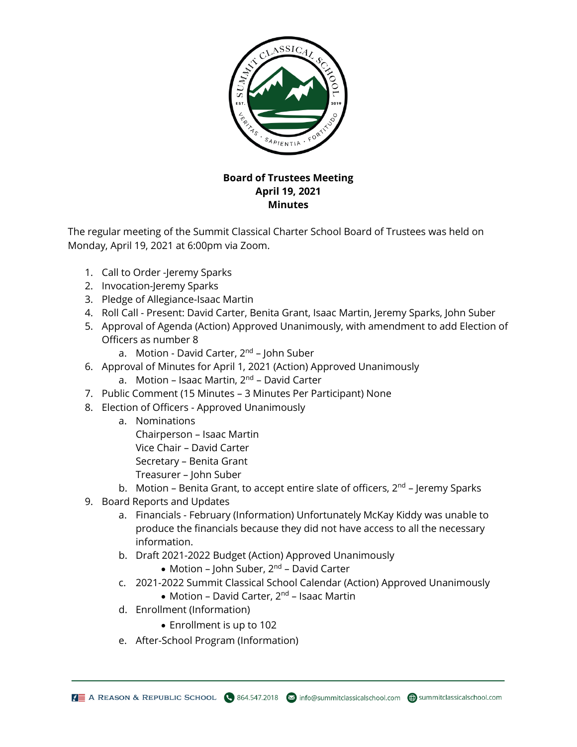

## **Board of Trustees Meeting April 19, 2021 Minutes**

The regular meeting of the Summit Classical Charter School Board of Trustees was held on Monday, April 19, 2021 at 6:00pm via Zoom.

- 1. Call to Order -Jeremy Sparks
- 2. Invocation-Jeremy Sparks
- 3. Pledge of Allegiance-Isaac Martin
- 4. Roll Call Present: David Carter, Benita Grant, Isaac Martin, Jeremy Sparks, John Suber
- 5. Approval of Agenda (Action) Approved Unanimously, with amendment to add Election of Officers as number 8
	- a. Motion David Carter, 2<sup>nd</sup> John Suber
- 6. Approval of Minutes for April 1, 2021 (Action) Approved Unanimously
	- a. Motion Isaac Martin, 2<sup>nd</sup> David Carter
- 7. Public Comment (15 Minutes 3 Minutes Per Participant) None
- 8. Election of Officers Approved Unanimously
	- a. Nominations
		- Chairperson Isaac Martin Vice Chair – David Carter Secretary – Benita Grant Treasurer – John Suber
	- b. Motion Benita Grant, to accept entire slate of officers, 2<sup>nd</sup> Jeremy Sparks
- 9. Board Reports and Updates
	- a. Financials February (Information) Unfortunately McKay Kiddy was unable to produce the financials because they did not have access to all the necessary information.
	- b. Draft 2021-2022 Budget (Action) Approved Unanimously
		- Motion John Suber, 2<sup>nd</sup> David Carter
	- c. 2021-2022 Summit Classical School Calendar (Action) Approved Unanimously
		- Motion David Carter, 2<sup>nd</sup> Isaac Martin
	- d. Enrollment (Information)
		- Enrollment is up to 102
	- e. After-School Program (Information)